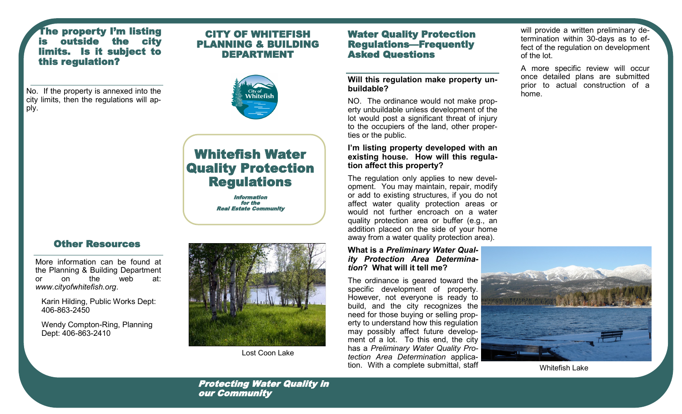## The property I'm listing outside the city limits. Is it subject to this regulation?

No. If the property is annexed into the city limits, then the regulations will apply.



CITY OF WHITEFISH



# Whitefish Water Quality Protection **Regulations**

 Information for the Real Estate Community

# Other Resources

More information can be found at the Planning & Building Department or on the web at: *www.cityofwhitefish.org*.

Karin Hilding, Public Works Dept: 406-863-2450

Wendy Compton-Ring, Planning Dept: 406-863-2410



Lost Coon Lake

## Water Quality Protection Regulations—Frequently Asked Questions

**Will this regulation make property unbuildable?**

NO. The ordinance would not make property unbuildable unless development of the lot would post a significant threat of injury to the occupiers of the land, other properties or the public.

### **I'm listing property developed with an existing house. How will this regulation affect this property?**

The regulation only applies to new development. You may maintain, repair, modify or add to existing structures, if you do not affect water quality protection areas or would not further encroach on a water quality protection area or buffer (e.g., an addition placed on the side of your home away from a water quality protection area).

#### **What is a** *Preliminary Water Quality Protection Area Determination***? What will it tell me?**

The ordinance is geared toward the specific development of property. However, not everyone is ready to build, and the city recognizes the need for those buying or selling property to understand how this regulation may possibly affect future development of a lot. To this end, the city has a *Preliminary Water Quality Protection Area Determination* application. With a complete submittal, staff

will provide a written preliminary determination within 30-days as to effect of the regulation on development of the lot.

A more specific review will occur once detailed plans are submitted prior to actual construction of a home.





Protecting Water Quality in our Community